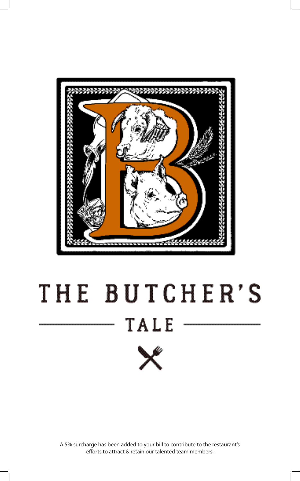

# THE BUTCHER'S TALE



A 5% surcharge has been added to your bill to contribute to the restaurant's efforts to attract & retain our talented team members.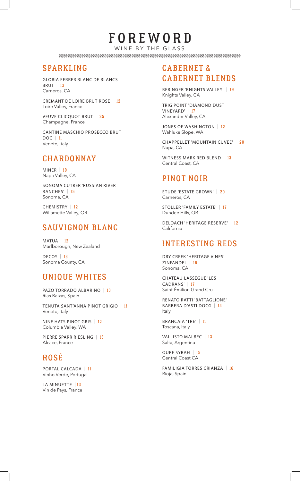## FOREWORD

WINE BY THE GLASS 

### SPARKLING

GLORIA FERRER BLANC DE BLANCS **BRUT | 13** Carneros, CA

CREMANT DE LOIRE BRUT ROSE | 12 Loire Valley, France

VEUVE CLICQUOT BRUT | 25 Champagne, France

CANTINE MASCHIO PROSECCO BRUT DOC | 11 Veneto, Italy

### **CHARDONNAY**

MINER | 19 Napa Valley, CA

SONOMA CUTRER 'RUSSIAN RIVER RANCHES' | 15 Sonoma, CA

CHEMISTRY | 12 Willamette Valley, OR

### SAUVIGNON BLANC

 $MATUA$  | 12 Marlborough, New Zealand

DECOY | 13 Sonoma County, CA

### UNIQUE WHITES

PAZO TORRADO ALBARINO | 13 Rias Baixas, Spain

TENUTA SANT'ANNA PINOT GRIGIO | 11 Veneto, Italy

NINE HATS PINOT GRIS | 12 Columbia Valley, WA

PIERRE SPARR RIESLING | 13 Alcace, France

## ROSÉ

PORTAL CALCADA | 11 Vinho Verde, Portugal

LA MINUETTE | 13 Vin de Pays, France

#### CABERNET & CABERNET BLENDS

BERINGER 'KNIGHTS VALLEY' | 19 Knights Valley, CA

TRIG POINT 'DIAMOND DUST VINEYARD' | 17 Alexander Valley, CA

JONES OF WASHINGTON | 12 Wahluke Slope, WA

CHAPPELLET 'MOUNTAIN CUVEE' | 20 Napa, CA

WITNESS MARK RED BLEND | 13 Central Coast, CA

#### PINOT NOIR

ETUDE 'ESTATE GROWN' | 20 Carneros, CA

STOLLER 'FAMILY ESTATE' | 17 Dundee Hills, OR

DELOACH 'HERITAGE RESERVE' | 12 California

#### **INTERESTING REDS**

DRY CREEK 'HERITAGE VINES' ZINFANDEL | 15 Sonoma, CA

CHATEAU LASSÉGUE 'LES CADRANS' | 17 Saint-Émilion Grand Cru

RENATO RATTI 'BATTAGLIONE' BARBERA D'ASTI DOCG | 14 Italy

BRANCAIA 'TRE' | 15 Toscana, Italy

VALLISTO MALBEC | 13 Salta, Argentina

QUPE SYRAH | 15 Central Coast,CA

FAMILIGIA TORRES CRIANZA | 16 Rioja, Spain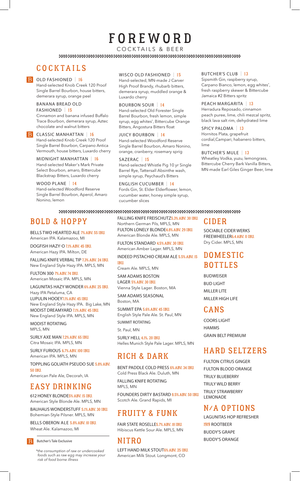## FOREWORD

COCKTAILS & BEER

## **COCKTAILS**

#### B OLD FASHIONED | 16

Hand-selected Knob Creek 120 Proof Single Barrel Bourbon, house bitters, demerara syrup, orange peel

#### BANANA BREAD OLD FASHIONED | 15

Cinnamon and banana infused Buffalo Trace Bourbon, demerara syrup, Aztec chocolate and walnut bitters

**B** CLASSIC MANHATTAN | 16 Hand-selected Knob Creek 120 Proof Single Barrel Bourbon, Carpano Antica Vermouth, house bitters, Luxardo cherry

MIDNIGHT MANHATTAN | 16 Hand-selected Maker's Mark Private Select Bourbon, amaro, Bittercube Blackstrap Bitters, Luxardo cherry

WOOD PLANE | 14 Hand-selected Woodford Reserve Single Barrel Bourbon, Aperol, Amaro Nonino, lemon

#### WISCO OLD FASHIONED | 15

Hand-selected, MN-made J Carver High Proof Brandy, rhubarb bitters, demerara syrup, muddled orange & Luxardo cherry

#### BOURBON SOUR | 14

Hand-selected Old Forester Single Barrel Bourbon, fresh lemon, simple syrup, egg whites\* , Bittercube Orange Bitters, Angostura Bitters float

JUICY BOURBON | 14 Hand-selected Woodford Reserve Single Barrel Bourbon, Amaro Nonino, orange, cranberry, rosemary sprig

SAZERAC | 15 Hand-selected Whistle Pig 10 yr Single Barrel Rye, Tattersall Absinthe wash, simple syrup, Peychaud's Bitters

ENGLISH CUCUMBER | 14 Fords Gin, St. Elder Elderflower, lemon, cucumber water, honey simple syrup, cucumber slices

#### BUTCHER'S CLUB | 13

Sipsmith Gin, raspberry syrup, Carpano Bianco, lemon, egg whites\* , fresh raspberry skewer & Bittercube Jamaica #2 Bitters spritz

#### PEACH MARGARITA | 13

Herradura Reposado, cinnamon peach puree, lime, chili mezcal spritz, black lava salt rim, dehydrated lime

#### SPICY PALOMA | 13

Hornitos Plata, grapefruit cordial,Campari, habanero bitters, lime

#### BUTCHER'S MULE | 13

Wheatley Vodka, yuzu, lemongrass, Bittercube Cherry Bark Vanilla Bitters, MN-made Earl Giles Ginger Beer, lime

#### 

## BOLD & HOPPY

BELLS TWO HEARTED ALE 7% ABV. 55 IBU. American IPA. Kalamazoo, MI

DOGFISH HAZY-O 7.1% ABV. 45 IBU. American Hazy IPA. Milton, DE

FALLING KNIFE VERBAL TIP 7.3% ABV. 24 IBU. New England Style Hazy IPA. MPLS, MN

FULTON 300 7% ABV. 74 IBU. American Mosaic IPA. MPLS, MN

#### LAGUNITAS HAZY WONDER 6% ABV. 25 IBU.

Hazy IPA Petaluma, CA LUPULIN HOOEY7.1% ABV. 45 IBU. New England Style Hazy IPA. Big Lake, MN MODIST DREAMYARD 7.1% ABV. 45 IBU. New England Style IPA. MPLS, MN

MODIST ROTATING MPLS, MN

SURLY AXE MAN 7.2% ABV. 65 IBU. Citra Mosaic IPA. MPLS, MN

SURLY FURIOUS 6.7% ABV. 100 IBU. American IPA. MPLS, MN

TOPPLING GOLIATH PSEUDO SUE 5.8% ABV. 50 IBU. American Pale Ale, Decorah, IA

## EASY DRINKING

612HONEY BLONDE5% ABV. 15 IBU. American Style Blonde Ale. MPLS, MN

BAUHAUS WONDERSTUFF 5.1% ABV. 30 IBU. Bohemian-Style Pilsner. MPLS, MN

BELLS OBERON ALE 5.8% ABV. 10 IBU. Wheat Ale. Kalamazoo, MI

Butcher's Tale Exclusive

*\*the consumption of raw or undercooked foods such as raw egg may increase your risk of food borne illness*

FALLING KNIFE FREISCHUTZ5.3% ABV. 30 IBU. Northern German Pils, MPLS, MN FULTON LONELY BLONDE4.8% ABV. 29 IBU. American Blonde Ale. MPLS, MN

FULTON STANDARD 4.5% ABV. 30 IBU. American Amber Lager. MPLS, MN

INDEED PISTACHIO CREAM ALE 5.5% ABV. 15 IBU.

Cream Ale. MPLS, MN

SAM ADAMS BOSTON LAGER 5% ABV. 30 IBU.

Vienna Style Lager. Boston, MA SAM ADAMS SEASONAL

Boston, MA

SUMMIT EPA 5.6% ABV. 45 IBU. English Style Pale Ale. St. Paul, MN

SUMMIT ROTATING

St. Paul, MN

SURLY HELL 4.1%. 20 IBU. Helles Munich Style Pale Lager. MPLS, MN

#### RICH & DARK

BENT PADDLE COLD PRESS 6% ABV. 34 IBU. Cold Press Black Ale. Duluth, MN

FALLING KNIFE ROTATING MPLS, MN

FOUNDERS DIRTY BASTARD 8.5% ABV. 50 IBU. Scotch Ale. Grand Rapids, MI

## **FRUITY & FUNK**

FAIR STATE ROSELLE5.7% ABV. 18 IBU. Hibiscus Kettle Sour Ale. MPLS, MN

#### N I T R O

LEFT HAND MILK STOUT6% ABV. 25 IBU. American Milk Stout. Longmont, CO

### C I D E R

SOCIABLE CIDER WERKS FREEWHEELER6.4 ABV. 0 IBU. Dry Cider. MPLS, MN

## **DOMESTIC** BOTTLES

BUDWEISER BUD LIGHT **MILLER LITE** MILLER HIGH LIFE

#### **CANS**

COORS LIGHT HAMMS GRAIN BELT PREMIUM

### HARD SELTZERS

FULTON CITRUS GINGER FULTON BLOOD ORANGE TRULY BLUEBERRY TRULY WILD BERRY TRULY STRAWBERRY LEMONADE

#### N/A OPTIONS

LAGUNITAS HOP REFRESHER 1919 ROOTBEER BUDDY'S GRAPE BUDDY'S ORANGE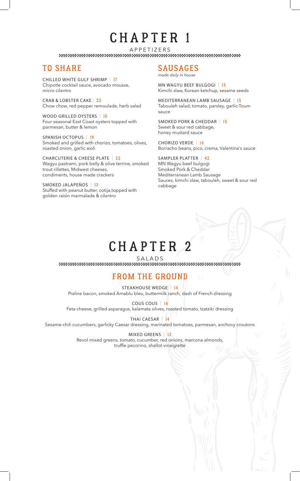## CHAPTER 1

APPETIZERS<br>http://www.tatasana.com/www.tatasana.com/www.tatasana.com/www.tatasana.com/www.tatasana.com/www.tatasana.com/

### TO SHARE

CHILLED WHITE GULF SHRIMP | 17 Chipotle cocktail sauce, avocado mousse, micro cilantro

CRAB & LOBSTER CAKE | 23 Chow chow, red pepper remoulade, herb salad

WOOD GRILLED OYSTERS | 16 Four seasonal East Coast oysters topped with parmesan, butter & lemon

SPANISH OCTOPUS | 19 Smoked and grilled with chorizo, tomatoes, olives, roasted onion, garlic aioli

CHARCUTERIE & CHEESE PLATE | 32 Wagyu pastrami, pork belly & olive terrine, smoked trout rillettes, Midwest cheeses, condiments, house made crackers

SMOKED JALAPEÑOS | 13 Stuffed with peanut butter, cotija,topped with golden raisin marmalade & cilantro

#### SAUSAGES

*made daily in house*

MN WAGYU BEEF BULGOGI | 15 Kimchi slaw, Korean ketchup, sesame seeds

MEDITERRANEAN LAMB SAUSAGE | 15 Tabouleh salad, tomato, parsley, garlic-Toum sauce

SMOKED PORK & CHEDDAR | 15 Sweet & sour red cabbage, honey mustard sauce

CHORIZO VERDE | 14 Borracho beans, pico, crema, Valentina's sauce

SAMPLER PLATTER | 42 MN Wagyu beef bulgogi Smoked Pork & Cheddar Mediterranean Lamb Sausage Sauces, kimchi slaw, tabouleh, sweet & sour red cabbage

## CHAPTER 2

 $\begin{array}{l} \texttt{SALADS} \\ \texttt{39} \end{array}$ 

## FROM THE GROUND

STEAKHOUSE WEDGE | 14 Praline bacon, smoked Amablu bleu, buttermilk ranch, dash of French dressing

COUS COUS | 14 Feta cheese, grilled asparagus, kalamata olives, roasted tomato, tzatziki dressing

THAI CAESAR | 14

Sesame-chili cucumbers, garlicky Caesar dressing, marinated tomatoes, parmesan, anchovy croutons

#### MIXED GREENS | 13

Revol mixed greens, tomato, cucumber, red onions, marcona almonds, truffle pecorino, shallot vinaigrette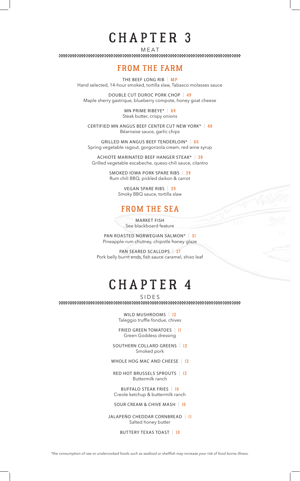## CHAPTER 3

MEAT

### FROM THE FARM

THE BEEF LONG RIB | MP Hand selected, 14-hour smoked, tortilla slaw, Tabasco molasses sauce

DOUBLE CUT DUROC PORK CHOP | 49 Maple sherry gastrique, blueberry compote, honey goat cheese

> MN PRIME RIBEYE\* | 69 Steak butter, crispy onions

CERTIFIED MN ANGUS BEEF CENTER CUT NEW YORK\* | 48 Béarnaise sauce, garlic chips

GRILLED MN ANGUS BEEF TENDERLOIN\* | 65 Spring vegetable ragout, gorgonzola cream, red wine syrup

ACHIOTE MARINATED BEEF HANGER STEAK\* | 38 Grilled vegetable escabeche, queso-chili sauce, cilantro

> SMOKED IOWA PORK SPARE RIBS | 39 Rum chili BBQ, pickled daikon & carrot

> > VEGAN SPARE RIBS | 29 Smoky BBQ sauce, tortilla slaw

### FROM THE SEA

MARKET FISH See blackboard feature

PAN ROASTED NORWEGIAN SALMON\* | 31 Pineapple-rum chutney, chipotle honey glaze

PAN SEARED SCALLOPS | 37 Pork belly burnt ends, fish sauce caramel, shiso leaf

## CHAPTER 4

 $\text{S} \mid \text{D} \mid \text{E} \mid \text{S}$  where we recommend that the contract of the contract of the contract of the contract of the contract of the contract of the contract of the contract of the contract of the contract of the cont

WILD MUSHROOMS | 12 Taleggio truffle fondue, chives

FRIED GREEN TOMATOES | 11 Green Goddess dressing

SOUTHERN COLLARD GREENS | 12 Smoked pork

WHOLE HOG MAC AND CHEESE | 12

RED HOT BRUSSELS SPROUTS | 12 Buttermilk ranch

BUFFALO STEAK FRIES | 10 Creole ketchup & buttermilk ranch

SOUR CREAM & CHIVE MASH | 10

JALAPEÑO CHEDDAR CORNBREAD | 11 Salted honey butter

BUTTERY TEXAS TOAST | 10